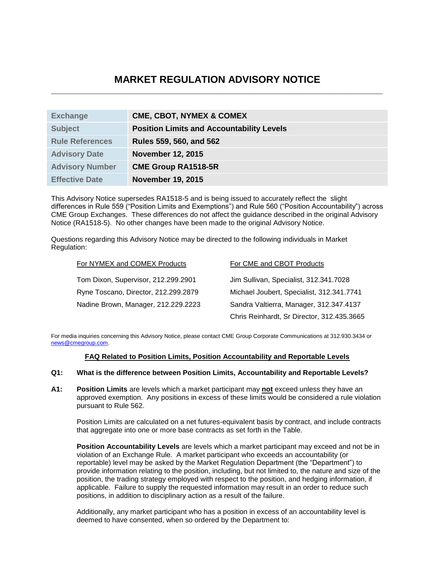# **MARKET REGULATION ADVISORY NOTICE \_\_\_\_\_\_\_\_\_\_\_\_\_\_\_\_\_\_\_\_\_\_\_\_\_\_\_\_\_\_\_\_\_\_\_\_\_\_\_\_\_\_\_\_\_\_\_\_\_\_\_\_\_\_\_\_\_\_\_\_\_\_\_\_\_\_\_\_\_\_**

| <b>Exchange</b>        | <b>CME, CBOT, NYMEX &amp; COMEX</b>              |
|------------------------|--------------------------------------------------|
| <b>Subject</b>         | <b>Position Limits and Accountability Levels</b> |
| <b>Rule References</b> | Rules 559, 560, and 562                          |
| <b>Advisory Date</b>   | <b>November 12, 2015</b>                         |
| <b>Advisory Number</b> | <b>CME Group RA1518-5R</b>                       |
| <b>Effective Date</b>  | <b>November 19, 2015</b>                         |

This Advisory Notice supersedes RA1518-5 and is being issued to accurately reflect the slight differences in Rule 559 ("Position Limits and Exemptions") and Rule 560 ("Position Accountability") across CME Group Exchanges. These differences do not affect the guidance described in the original Advisory Notice (RA1518-5). No other changes have been made to the original Advisory Notice.

Questions regarding this Advisory Notice may be directed to the following individuals in Market Regulation:

| For NYMEX and COMEX Products         | For CME and CBOT Products                  |
|--------------------------------------|--------------------------------------------|
| Tom Dixon, Supervisor, 212.299.2901  | Jim Sullivan, Specialist, 312.341.7028     |
| Ryne Toscano, Director, 212.299.2879 | Michael Joubert, Specialist, 312.341.7741  |
| Nadine Brown, Manager, 212.229.2223  | Sandra Valtierra, Manager, 312.347.4137    |
|                                      | Chris Reinhardt, Sr Director, 312.435.3665 |

For media inquiries concerning this Advisory Notice, please contact CME Group Corporate Communications at 312.930.3434 or [news@cmegroup.com.](mailto:news@cmegroup.com)

# **FAQ Related to Position Limits, Position Accountability and Reportable Levels**

# **Q1: What is the difference between Position Limits, Accountability and Reportable Levels?**

**A1: Position Limits** are levels which a market participant may **not** exceed unless they have an approved exemption. Any positions in excess of these limits would be considered a rule violation pursuant to Rule 562.

Position Limits are calculated on a net futures-equivalent basis by contract, and include contracts that aggregate into one or more base contracts as set forth in the Table.

**Position Accountability Levels** are levels which a market participant may exceed and not be in violation of an Exchange Rule. A market participant who exceeds an accountability (or reportable) level may be asked by the Market Regulation Department (the "Department") to provide information relating to the position, including, but not limited to, the nature and size of the position, the trading strategy employed with respect to the position, and hedging information, if applicable. Failure to supply the requested information may result in an order to reduce such positions, in addition to disciplinary action as a result of the failure.

Additionally, any market participant who has a position in excess of an accountability level is deemed to have consented, when so ordered by the Department to: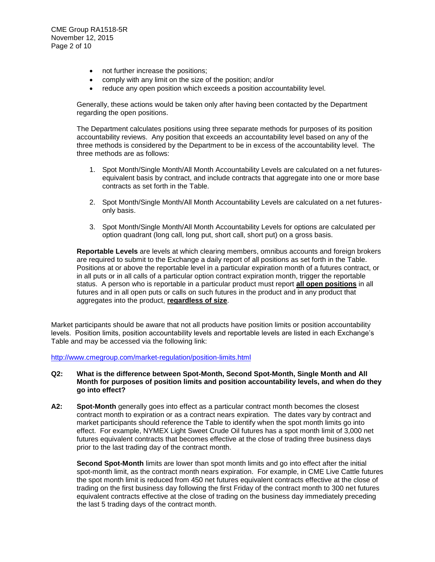- not further increase the positions;
- comply with any limit on the size of the position; and/or
- reduce any open position which exceeds a position accountability level.

Generally, these actions would be taken only after having been contacted by the Department regarding the open positions.

The Department calculates positions using three separate methods for purposes of its position accountability reviews. Any position that exceeds an accountability level based on any of the three methods is considered by the Department to be in excess of the accountability level. The three methods are as follows:

- 1. Spot Month/Single Month/All Month Accountability Levels are calculated on a net futuresequivalent basis by contract, and include contracts that aggregate into one or more base contracts as set forth in the Table.
- 2. Spot Month/Single Month/All Month Accountability Levels are calculated on a net futuresonly basis.
- 3. Spot Month/Single Month/All Month Accountability Levels for options are calculated per option quadrant (long call, long put, short call, short put) on a gross basis.

**Reportable Levels** are levels at which clearing members, omnibus accounts and foreign brokers are required to submit to the Exchange a daily report of all positions as set forth in the Table. Positions at or above the reportable level in a particular expiration month of a futures contract, or in all puts or in all calls of a particular option contract expiration month, trigger the reportable status. A person who is reportable in a particular product must report **all open positions** in all futures and in all open puts or calls on such futures in the product and in any product that aggregates into the product, **regardless of size**.

Market participants should be aware that not all products have position limits or position accountability levels. Position limits, position accountability levels and reportable levels are listed in each Exchange's Table and may be accessed via the following link:

<http://www.cmegroup.com/market-regulation/position-limits.html>

### **Q2: What is the difference between Spot-Month, Second Spot-Month, Single Month and All Month for purposes of position limits and position accountability levels, and when do they go into effect?**

**A2: Spot-Month** generally goes into effect as a particular contract month becomes the closest contract month to expiration or as a contract nears expiration. The dates vary by contract and market participants should reference the Table to identify when the spot month limits go into effect. For example, NYMEX Light Sweet Crude Oil futures has a spot month limit of 3,000 net futures equivalent contracts that becomes effective at the close of trading three business days prior to the last trading day of the contract month.

**Second Spot-Month** limits are lower than spot month limits and go into effect after the initial spot-month limit, as the contract month nears expiration. For example, in CME Live Cattle futures the spot month limit is reduced from 450 net futures equivalent contracts effective at the close of trading on the first business day following the first Friday of the contract month to 300 net futures equivalent contracts effective at the close of trading on the business day immediately preceding the last 5 trading days of the contract month.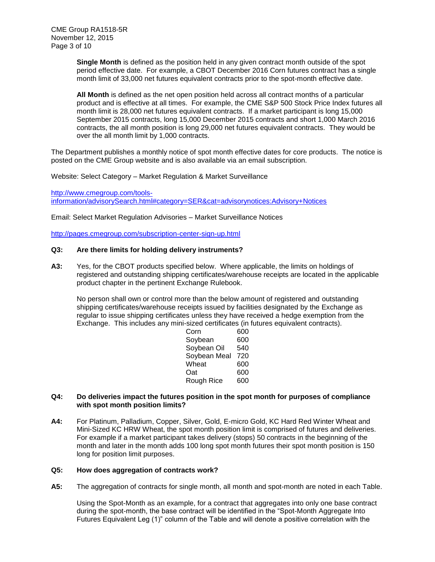**Single Month** is defined as the position held in any given contract month outside of the spot period effective date. For example, a CBOT December 2016 Corn futures contract has a single month limit of 33,000 net futures equivalent contracts prior to the spot-month effective date.

**All Month** is defined as the net open position held across all contract months of a particular product and is effective at all times. For example, the CME S&P 500 Stock Price Index futures all month limit is 28,000 net futures equivalent contracts. If a market participant is long 15,000 September 2015 contracts, long 15,000 December 2015 contracts and short 1,000 March 2016 contracts, the all month position is long 29,000 net futures equivalent contracts. They would be over the all month limit by 1,000 contracts.

The Department publishes a monthly notice of spot month effective dates for core products. The notice is posted on the CME Group website and is also available via an email subscription.

Website: Select Category – Market Regulation & Market Surveillance

[http://www.cmegroup.com/tools](http://www.cmegroup.com/tools-information/advisorySearch.html#category=SER&cat=advisorynotices:Advisory+Notices)[information/advisorySearch.html#category=SER&cat=advisorynotices:Advisory+Notices](http://www.cmegroup.com/tools-information/advisorySearch.html#category=SER&cat=advisorynotices:Advisory+Notices)

Email: Select Market Regulation Advisories – Market Surveillance Notices

<http://pages.cmegroup.com/subscription-center-sign-up.html>

# **Q3: Are there limits for holding delivery instruments?**

**A3:** Yes, for the CBOT products specified below. Where applicable, the limits on holdings of registered and outstanding shipping certificates/warehouse receipts are located in the applicable product chapter in the pertinent Exchange Rulebook.

No person shall own or control more than the below amount of registered and outstanding shipping certificates/warehouse receipts issued by facilities designated by the Exchange as regular to issue shipping certificates unless they have received a hedge exemption from the Exchange. This includes any mini-sized certificates (in futures equivalent contracts).

| Corn         | 600 |
|--------------|-----|
| Soybean      | 600 |
| Soybean Oil  | 540 |
| Soybean Meal | 720 |
| Wheat        | 600 |
| Oat          | 600 |
| Rough Rice   | 600 |

### **Q4: Do deliveries impact the futures position in the spot month for purposes of compliance with spot month position limits?**

**A4:** For Platinum, Palladium, Copper, Silver, Gold, E-micro Gold, KC Hard Red Winter Wheat and Mini-Sized KC HRW Wheat, the spot month position limit is comprised of futures and deliveries. For example if a market participant takes delivery (stops) 50 contracts in the beginning of the month and later in the month adds 100 long spot month futures their spot month position is 150 long for position limit purposes.

### **Q5: How does aggregation of contracts work?**

**A5:** The aggregation of contracts for single month, all month and spot-month are noted in each Table.

Using the Spot-Month as an example, for a contract that aggregates into only one base contract during the spot-month, the base contract will be identified in the "Spot-Month Aggregate Into Futures Equivalent Leg (1)" column of the Table and will denote a positive correlation with the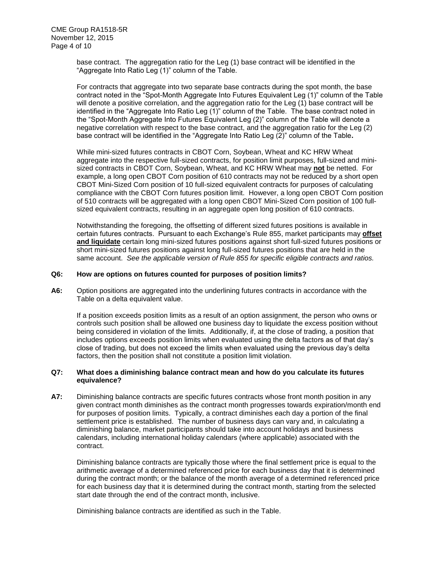base contract. The aggregation ratio for the Leg (1) base contract will be identified in the "Aggregate Into Ratio Leg (1)" column of the Table.

For contracts that aggregate into two separate base contracts during the spot month, the base contract noted in the "Spot-Month Aggregate Into Futures Equivalent Leg (1)" column of the Table will denote a positive correlation, and the aggregation ratio for the Leg (1) base contract will be identified in the "Aggregate Into Ratio Leg (1)" column of the Table. The base contract noted in the "Spot-Month Aggregate Into Futures Equivalent Leg (2)" column of the Table will denote a negative correlation with respect to the base contract, and the aggregation ratio for the Leg (2) base contract will be identified in the "Aggregate Into Ratio Leg (2)" column of the Table**.**

While mini-sized futures contracts in CBOT Corn, Soybean, Wheat and KC HRW Wheat aggregate into the respective full-sized contracts, for position limit purposes, full-sized and minisized contracts in CBOT Corn, Soybean, Wheat, and KC HRW Wheat may **not** be netted. For example, a long open CBOT Corn position of 610 contracts may not be reduced by a short open CBOT Mini-Sized Corn position of 10 full-sized equivalent contracts for purposes of calculating compliance with the CBOT Corn futures position limit. However, a long open CBOT Corn position of 510 contracts will be aggregated with a long open CBOT Mini-Sized Corn position of 100 fullsized equivalent contracts, resulting in an aggregate open long position of 610 contracts.

Notwithstanding the foregoing, the offsetting of different sized futures positions is available in certain futures contracts. Pursuant to each Exchange's Rule 855, market participants may **offset and liquidate** certain long mini-sized futures positions against short full-sized futures positions or short mini-sized futures positions against long full-sized futures positions that are held in the same account. *See the applicable version of Rule 855 for specific eligible contracts and ratios.* 

#### **Q6: How are options on futures counted for purposes of position limits?**

**A6:** Option positions are aggregated into the underlining futures contracts in accordance with the Table on a delta equivalent value.

If a position exceeds position limits as a result of an option assignment, the person who owns or controls such position shall be allowed one business day to liquidate the excess position without being considered in violation of the limits. Additionally, if, at the close of trading, a position that includes options exceeds position limits when evaluated using the delta factors as of that day's close of trading, but does not exceed the limits when evaluated using the previous day's delta factors, then the position shall not constitute a position limit violation.

# **Q7: What does a diminishing balance contract mean and how do you calculate its futures equivalence?**

**A7:** Diminishing balance contracts are specific futures contracts whose front month position in any given contract month diminishes as the contract month progresses towards expiration/month end for purposes of position limits. Typically, a contract diminishes each day a portion of the final settlement price is established. The number of business days can vary and, in calculating a diminishing balance, market participants should take into account holidays and business calendars, including international holiday calendars (where applicable) associated with the contract.

Diminishing balance contracts are typically those where the final settlement price is equal to the arithmetic average of a determined referenced price for each business day that it is determined during the contract month; or the balance of the month average of a determined referenced price for each business day that it is determined during the contract month, starting from the selected start date through the end of the contract month, inclusive.

Diminishing balance contracts are identified as such in the Table.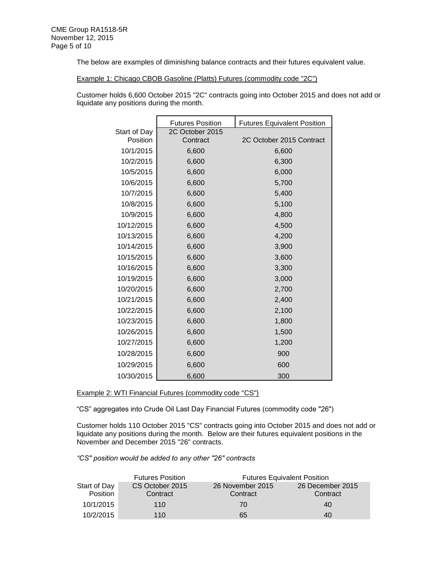The below are examples of diminishing balance contracts and their futures equivalent value.

Example 1: Chicago CBOB Gasoline (Platts) Futures (commodity code "2C")

Customer holds 6,600 October 2015 "2C" contracts going into October 2015 and does not add or liquidate any positions during the month.

|              | <b>Futures Position</b> | <b>Futures Equivalent Position</b> |
|--------------|-------------------------|------------------------------------|
| Start of Day | 2C October 2015         |                                    |
| Position     | Contract                | 2C October 2015 Contract           |
| 10/1/2015    | 6,600                   | 6,600                              |
| 10/2/2015    | 6,600                   | 6,300                              |
| 10/5/2015    | 6,600                   | 6,000                              |
| 10/6/2015    | 6,600                   | 5,700                              |
| 10/7/2015    | 6,600                   | 5,400                              |
| 10/8/2015    | 6,600                   | 5,100                              |
| 10/9/2015    | 6,600                   | 4,800                              |
| 10/12/2015   | 6,600                   | 4,500                              |
| 10/13/2015   | 6,600                   | 4,200                              |
| 10/14/2015   | 6,600                   | 3,900                              |
| 10/15/2015   | 6,600                   | 3,600                              |
| 10/16/2015   | 6,600                   | 3,300                              |
| 10/19/2015   | 6,600                   | 3,000                              |
| 10/20/2015   | 6,600                   | 2,700                              |
| 10/21/2015   | 6,600                   | 2,400                              |
| 10/22/2015   | 6,600                   | 2,100                              |
| 10/23/2015   | 6,600                   | 1,800                              |
| 10/26/2015   | 6,600                   | 1,500                              |
| 10/27/2015   | 6,600                   | 1,200                              |
| 10/28/2015   | 6,600                   | 900                                |
| 10/29/2015   | 6,600                   | 600                                |
| 10/30/2015   | 6,600                   | 300                                |

Example 2: WTI Financial Futures (commodity code "CS")

"CS" aggregates into Crude Oil Last Day Financial Futures (commodity code "26")

Customer holds 110 October 2015 "CS" contracts going into October 2015 and does not add or liquidate any positions during the month. Below are their futures equivalent positions in the November and December 2015 "26" contracts.

*"CS" position would be added to any other "26" contracts*

|                 | <b>Futures Position</b> |                  | <b>Futures Equivalent Position</b> |
|-----------------|-------------------------|------------------|------------------------------------|
| Start of Day    | CS October 2015         | 26 November 2015 | 26 December 2015                   |
| <b>Position</b> | Contract                | Contract         | Contract                           |
| 10/1/2015       | 110                     | 70               | 40                                 |
| 10/2/2015       | 110                     | 65               | 40                                 |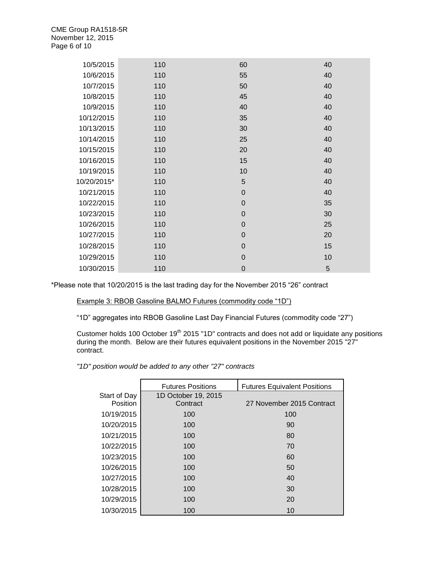| 10/5/2015   | 110 | 60          | 40 |
|-------------|-----|-------------|----|
| 10/6/2015   | 110 | 55          | 40 |
| 10/7/2015   | 110 | 50          | 40 |
| 10/8/2015   | 110 | 45          | 40 |
| 10/9/2015   | 110 | 40          | 40 |
| 10/12/2015  | 110 | 35          | 40 |
| 10/13/2015  | 110 | 30          | 40 |
| 10/14/2015  | 110 | 25          | 40 |
| 10/15/2015  | 110 | 20          | 40 |
| 10/16/2015  | 110 | 15          | 40 |
| 10/19/2015  | 110 | 10          | 40 |
| 10/20/2015* | 110 | 5           | 40 |
| 10/21/2015  | 110 | $\mathbf 0$ | 40 |
| 10/22/2015  | 110 | $\mathbf 0$ | 35 |
| 10/23/2015  | 110 | $\mathbf 0$ | 30 |
| 10/26/2015  | 110 | $\mathbf 0$ | 25 |
| 10/27/2015  | 110 | $\mathbf 0$ | 20 |
| 10/28/2015  | 110 | $\mathbf 0$ | 15 |
| 10/29/2015  | 110 | $\mathbf 0$ | 10 |
| 10/30/2015  | 110 | $\mathbf 0$ | 5  |

\*Please note that 10/20/2015 is the last trading day for the November 2015 "26" contract

# Example 3: RBOB Gasoline BALMO Futures (commodity code "1D")

"1D" aggregates into RBOB Gasoline Last Day Financial Futures (commodity code "27")

Customer holds 100 October 19<sup>th</sup> 2015 "1D" contracts and does not add or liquidate any positions during the month. Below are their futures equivalent positions in the November 2015 "27" contract.

*"1D" position would be added to any other "27" contracts*

|                 | <b>Futures Positions</b> | <b>Futures Equivalent Positions</b> |
|-----------------|--------------------------|-------------------------------------|
| Start of Day    | 1D October 19, 2015      |                                     |
| <b>Position</b> | Contract                 | 27 November 2015 Contract           |
| 10/19/2015      | 100                      | 100                                 |
| 10/20/2015      | 100                      | 90                                  |
| 10/21/2015      | 100                      | 80                                  |
| 10/22/2015      | 100                      | 70                                  |
| 10/23/2015      | 100                      | 60                                  |
| 10/26/2015      | 100                      | 50                                  |
| 10/27/2015      | 100                      | 40                                  |
| 10/28/2015      | 100                      | 30                                  |
| 10/29/2015      | 100                      | 20                                  |
| 10/30/2015      | 100                      | 10                                  |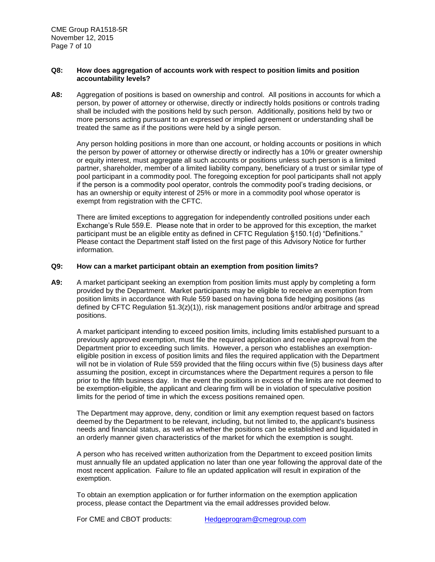### **Q8: How does aggregation of accounts work with respect to position limits and position accountability levels?**

**A8:** Aggregation of positions is based on ownership and control. All positions in accounts for which a person, by power of attorney or otherwise, directly or indirectly holds positions or controls trading shall be included with the positions held by such person. Additionally, positions held by two or more persons acting pursuant to an expressed or implied agreement or understanding shall be treated the same as if the positions were held by a single person.

Any person holding positions in more than one account, or holding accounts or positions in which the person by power of attorney or otherwise directly or indirectly has a 10% or greater ownership or equity interest, must aggregate all such accounts or positions unless such person is a limited partner, shareholder, member of a limited liability company, beneficiary of a trust or similar type of pool participant in a commodity pool. The foregoing exception for pool participants shall not apply if the person is a commodity pool operator, controls the commodity pool's trading decisions, or has an ownership or equity interest of 25% or more in a commodity pool whose operator is exempt from registration with the CFTC.

There are limited exceptions to aggregation for independently controlled positions under each Exchange's Rule 559.E. Please note that in order to be approved for this exception, the market participant must be an eligible entity as defined in CFTC Regulation §150.1(d) "Definitions." Please contact the Department staff listed on the first page of this Advisory Notice for further information.

#### **Q9: How can a market participant obtain an exemption from position limits?**

**A9:** A market participant seeking an exemption from position limits must apply by completing a form provided by the Department. Market participants may be eligible to receive an exemption from position limits in accordance with Rule 559 based on having bona fide hedging positions (as defined by CFTC Regulation §1.3(z)(1)), risk management positions and/or arbitrage and spread positions.

A market participant intending to exceed position limits, including limits established pursuant to a previously approved exemption, must file the required application and receive approval from the Department prior to exceeding such limits. However, a person who establishes an exemptioneligible position in excess of position limits and files the required application with the Department will not be in violation of Rule 559 provided that the filing occurs within five (5) business days after assuming the position, except in circumstances where the Department requires a person to file prior to the fifth business day. In the event the positions in excess of the limits are not deemed to be exemption-eligible, the applicant and clearing firm will be in violation of speculative position limits for the period of time in which the excess positions remained open.

The Department may approve, deny, condition or limit any exemption request based on factors deemed by the Department to be relevant, including, but not limited to, the applicant's business needs and financial status, as well as whether the positions can be established and liquidated in an orderly manner given characteristics of the market for which the exemption is sought.

A person who has received written authorization from the Department to exceed position limits must annually file an updated application no later than one year following the approval date of the most recent application. Failure to file an updated application will result in expiration of the exemption.

To obtain an exemption application or for further information on the exemption application process, please contact the Department via the email addresses provided below.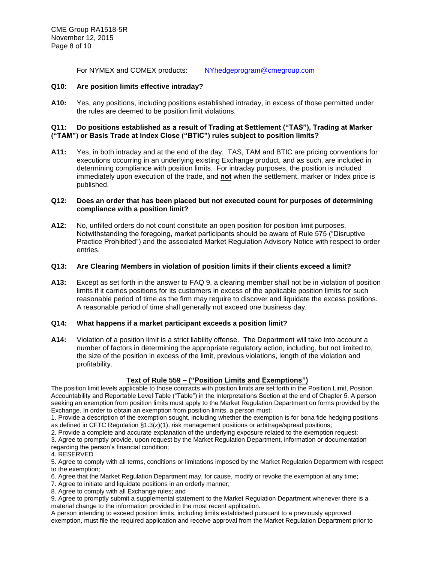For NYMEX and COMEX products: [NYhedgeprogram@cmegroup.com](mailto:NYhedgeprogram@cmegroup.com)

# **Q10: Are position limits effective intraday?**

**A10:** Yes, any positions, including positions established intraday, in excess of those permitted under the rules are deemed to be position limit violations.

# **Q11: Do positions established as a result of Trading at Settlement ("TAS"), Trading at Marker ("TAM") or Basis Trade at Index Close ("BTIC") rules subject to position limits?**

**A11:** Yes, in both intraday and at the end of the day. TAS, TAM and BTIC are pricing conventions for executions occurring in an underlying existing Exchange product, and as such, are included in determining compliance with position limits. For intraday purposes, the position is included immediately upon execution of the trade, and **not** when the settlement, marker or Index price is published.

# **Q12: Does an order that has been placed but not executed count for purposes of determining compliance with a position limit?**

**A12:** No, unfilled orders do not count constitute an open position for position limit purposes. Notwithstanding the foregoing, market participants should be aware of Rule 575 ("Disruptive Practice Prohibited") and the associated Market Regulation Advisory Notice with respect to order entries.

# **Q13: Are Clearing Members in violation of position limits if their clients exceed a limit?**

**A13:** Except as set forth in the answer to FAQ 9, a clearing member shall not be in violation of position limits if it carries positions for its customers in excess of the applicable position limits for such reasonable period of time as the firm may require to discover and liquidate the excess positions. A reasonable period of time shall generally not exceed one business day.

# **Q14: What happens if a market participant exceeds a position limit?**

**A14:** Violation of a position limit is a strict liability offense. The Department will take into account a number of factors in determining the appropriate regulatory action, including, but not limited to, the size of the position in excess of the limit, previous violations, length of the violation and profitability.

# **Text of Rule 559 – ("Position Limits and Exemptions")**

The position limit levels applicable to those contracts with position limits are set forth in the Position Limit, Position Accountability and Reportable Level Table ("Table") in the Interpretations Section at the end of Chapter 5. A person seeking an exemption from position limits must apply to the Market Regulation Department on forms provided by the Exchange. In order to obtain an exemption from position limits, a person must:

1. Provide a description of the exemption sought, including whether the exemption is for bona fide hedging positions as defined in CFTC Regulation §1.3(z)(1), risk management positions or arbitrage/spread positions;

2. Provide a complete and accurate explanation of the underlying exposure related to the exemption request;

3. Agree to promptly provide, upon request by the Market Regulation Department, information or documentation regarding the person's financial condition;

#### 4. RESERVED

5. Agree to comply with all terms, conditions or limitations imposed by the Market Regulation Department with respect to the exemption;

- 6. Agree that the Market Regulation Department may, for cause, modify or revoke the exemption at any time;
- 7. Agree to initiate and liquidate positions in an orderly manner;
- 8. Agree to comply with all Exchange rules; and
- 9. Agree to promptly submit a supplemental statement to the Market Regulation Department whenever there is a material change to the information provided in the most recent application.

A person intending to exceed position limits, including limits established pursuant to a previously approved exemption, must file the required application and receive approval from the Market Regulation Department prior to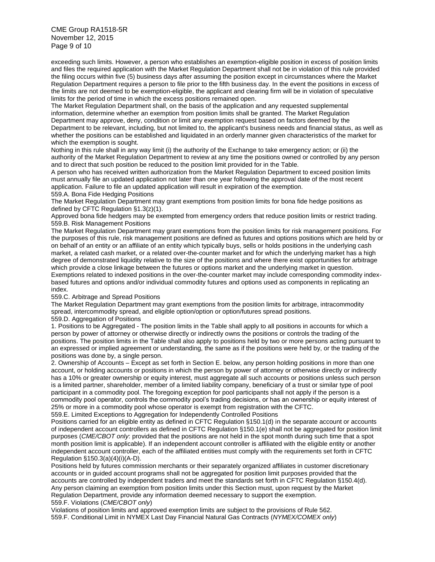CME Group RA1518-5R November 12, 2015 Page 9 of 10

exceeding such limits. However, a person who establishes an exemption-eligible position in excess of position limits and files the required application with the Market Regulation Department shall not be in violation of this rule provided the filing occurs within five (5) business days after assuming the position except in circumstances where the Market Regulation Department requires a person to file prior to the fifth business day. In the event the positions in excess of the limits are not deemed to be exemption-eligible, the applicant and clearing firm will be in violation of speculative limits for the period of time in which the excess positions remained open.

The Market Regulation Department shall, on the basis of the application and any requested supplemental information, determine whether an exemption from position limits shall be granted. The Market Regulation Department may approve, deny, condition or limit any exemption request based on factors deemed by the Department to be relevant, including, but not limited to, the applicant's business needs and financial status, as well as whether the positions can be established and liquidated in an orderly manner given characteristics of the market for which the exemption is sought.

Nothing in this rule shall in any way limit (i) the authority of the Exchange to take emergency action; or (ii) the authority of the Market Regulation Department to review at any time the positions owned or controlled by any person and to direct that such position be reduced to the position limit provided for in the Table.

A person who has received written authorization from the Market Regulation Department to exceed position limits must annually file an updated application not later than one year following the approval date of the most recent application. Failure to file an updated application will result in expiration of the exemption.

#### 559.A. Bona Fide Hedging Positions

The Market Regulation Department may grant exemptions from position limits for bona fide hedge positions as defined by CFTC Regulation §1.3(z)(1).

Approved bona fide hedgers may be exempted from emergency orders that reduce position limits or restrict trading. 559.B. Risk Management Positions

The Market Regulation Department may grant exemptions from the position limits for risk management positions. For the purposes of this rule, risk management positions are defined as futures and options positions which are held by or on behalf of an entity or an affiliate of an entity which typically buys, sells or holds positions in the underlying cash market, a related cash market, or a related over-the-counter market and for which the underlying market has a high degree of demonstrated liquidity relative to the size of the positions and where there exist opportunities for arbitrage which provide a close linkage between the futures or options market and the underlying market in question. Exemptions related to indexed positions in the over-the-counter market may include corresponding commodity indexbased futures and options and/or individual commodity futures and options used as components in replicating an index.

#### 559.C. Arbitrage and Spread Positions

The Market Regulation Department may grant exemptions from the position limits for arbitrage, intracommodity spread, intercommodity spread, and eligible option/option or option/futures spread positions. 559.D. Aggregation of Positions

1. Positions to be Aggregated - The position limits in the Table shall apply to all positions in accounts for which a person by power of attorney or otherwise directly or indirectly owns the positions or controls the trading of the positions. The position limits in the Table shall also apply to positions held by two or more persons acting pursuant to an expressed or implied agreement or understanding, the same as if the positions were held by, or the trading of the positions was done by, a single person.

2. Ownership of Accounts – Except as set forth in Section E. below, any person holding positions in more than one account, or holding accounts or positions in which the person by power of attorney or otherwise directly or indirectly has a 10% or greater ownership or equity interest, must aggregate all such accounts or positions unless such person is a limited partner, shareholder, member of a limited liability company, beneficiary of a trust or similar type of pool participant in a commodity pool. The foregoing exception for pool participants shall not apply if the person is a commodity pool operator, controls the commodity pool's trading decisions, or has an ownership or equity interest of 25% or more in a commodity pool whose operator is exempt from registration with the CFTC.

559.E. Limited Exceptions to Aggregation for Independently Controlled Positions

Positions carried for an eligible entity as defined in CFTC Regulation §150.1(d) in the separate account or accounts of independent account controllers as defined in CFTC Regulation §150.1(e) shall not be aggregated for position limit purposes (*CME/CBOT only*: provided that the positions are not held in the spot month during such time that a spot month position limit is applicable). If an independent account controller is affiliated with the eligible entity or another independent account controller, each of the affiliated entities must comply with the requirements set forth in CFTC Regulation §150.3(a)(4)(i)(A-D).

Positions held by futures commission merchants or their separately organized affiliates in customer discretionary accounts or in guided account programs shall not be aggregated for position limit purposes provided that the accounts are controlled by independent traders and meet the standards set forth in CFTC Regulation §150.4(d). Any person claiming an exemption from position limits under this Section must, upon request by the Market Regulation Department, provide any information deemed necessary to support the exemption. 559.F. Violations (*CME/CBOT only*)

Violations of position limits and approved exemption limits are subject to the provisions of Rule 562. 559.F. Conditional Limit in NYMEX Last Day Financial Natural Gas Contracts (*NYMEX/COMEX only*)